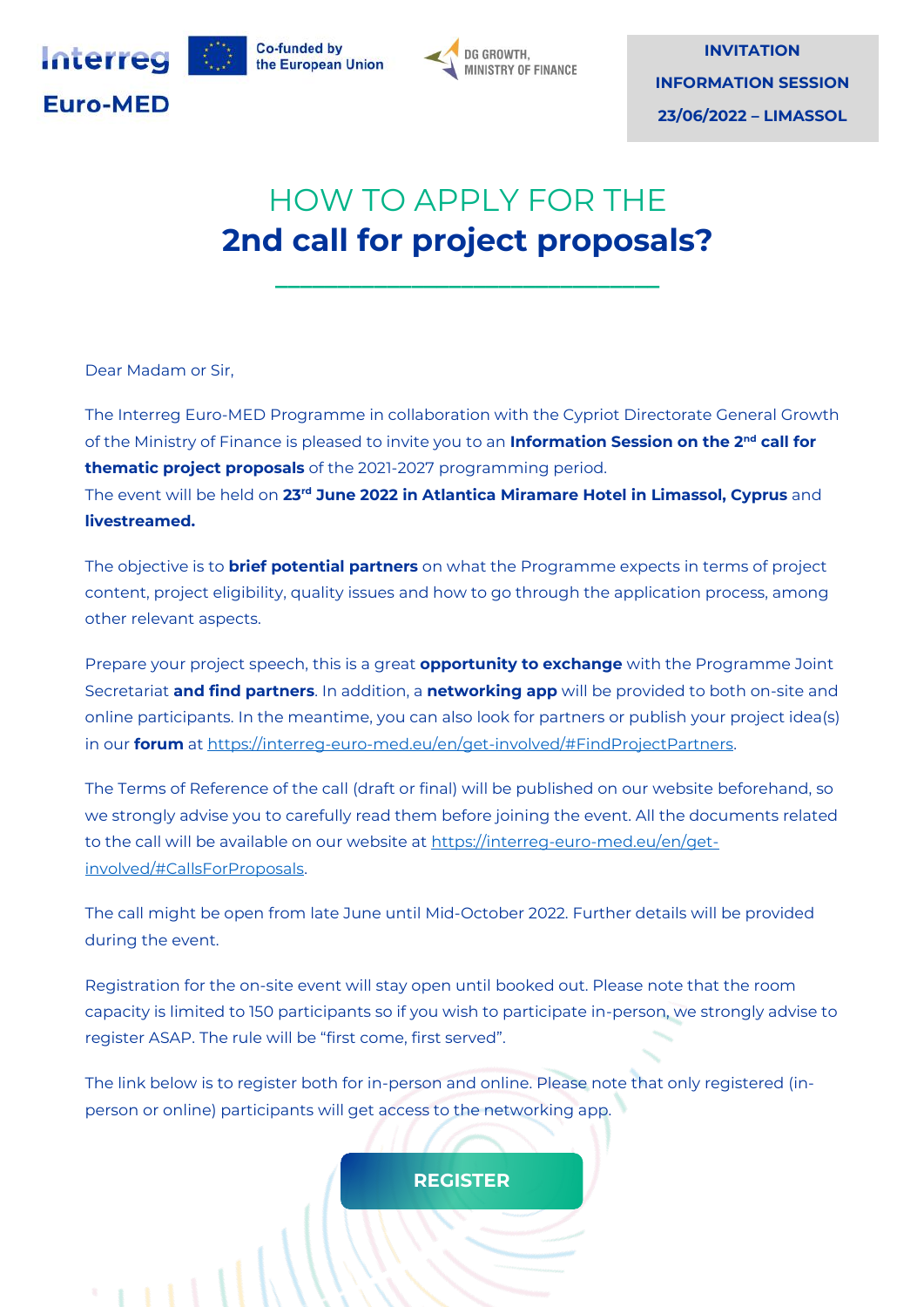



# HOW TO APPLY FOR THE **2nd call for project proposals?**

**\_\_\_\_\_\_\_\_\_\_\_\_\_\_\_\_\_\_\_\_\_\_\_\_\_\_\_\_\_\_\_**

Dear Madam or Sir,

The Interreg Euro-MED Programme in collaboration with the Cypriot Directorate General Growth of the Ministry of Finance is pleased to invite you to an **Information Session on the 2nd call for thematic project proposals** of the 2021-2027 programming period. The event will be held on **23rd June 2022 in Atlantica Miramare Hotel in Limassol, Cyprus** and **livestreamed.**

The objective is to **brief potential partners** on what the Programme expects in terms of project content, project eligibility, quality issues and how to go through the application process, among other relevant aspects.

Prepare your project speech, this is a great **opportunity to exchange** with the Programme Joint Secretariat **and find partners**. In addition, a **networking app** will be provided to both on-site and online participants. In the meantime, you can also look for partners or publish your project idea(s) in our **forum** at https://interreg-euro-med.eu/en/get-involved/#FindProjectPartners.

The Terms of Reference of the call (draft or final) will be published on our website beforehand, so we strongly advise you to carefully read them before joining the event. All the documents related to the call will be available on our website at [https://interreg-euro-med.eu/en/get](https://interreg-euro-med.eu/en/get-involved/#CallsForProposals)[involved/#CallsForProposals.](https://interreg-euro-med.eu/en/get-involved/#CallsForProposals)

The call might be open from late June until Mid-October 2022. Further details will be provided during the event.

Registration for the on-site event will stay open until booked out. Please note that the room capacity is limited to 150 participants so if you wish to participate in-person, we strongly advise to register ASAP. The rule will be "first come, first served".

The link below is to register both for in-person and online. Please note that only registered (inperson or online) participants will get access to the networking app.

### **[REGISTER](https://interreg-euro-med.eu/en/information-session-on-the-2nd-call-for-proposals-registration/)**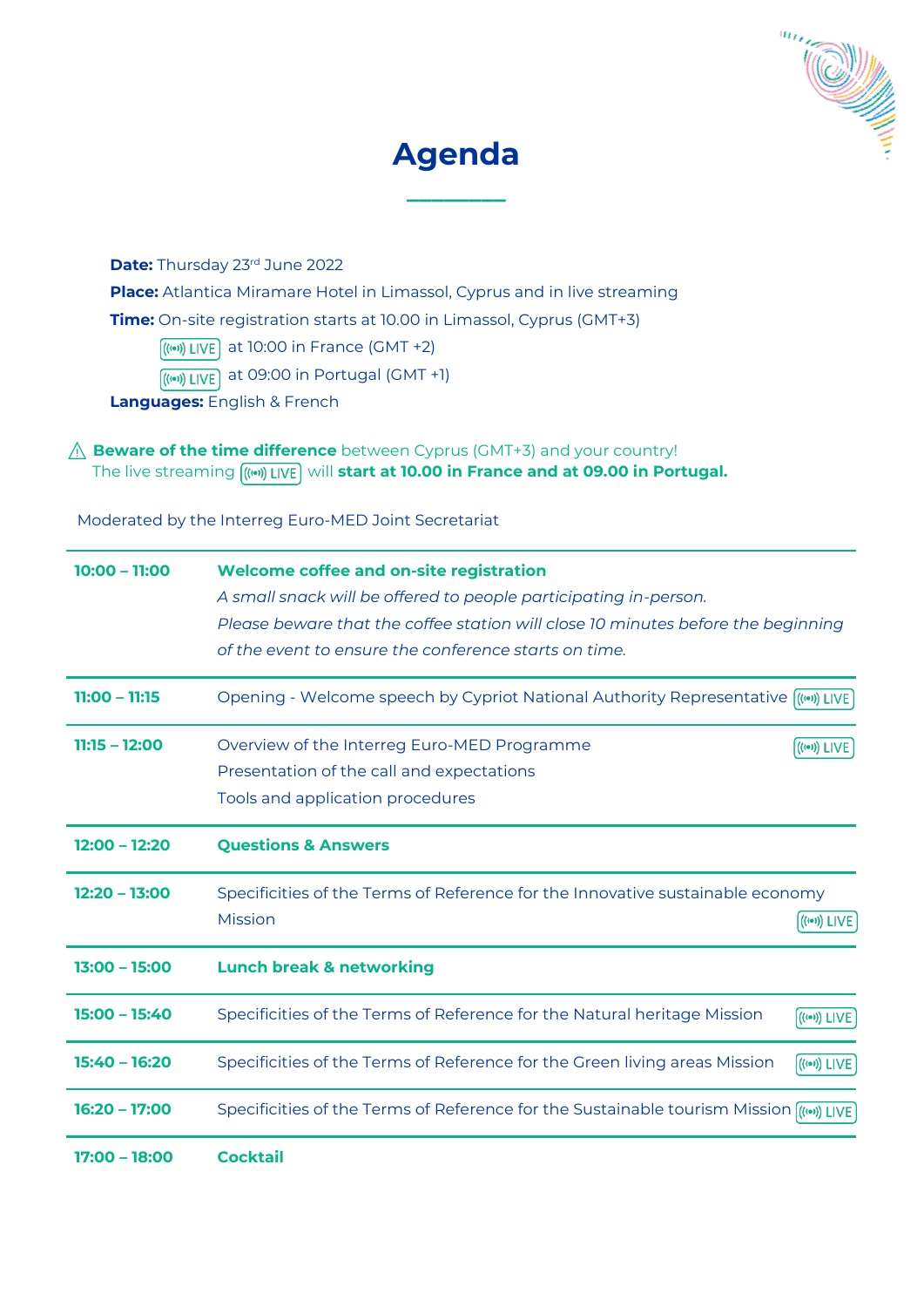



**\_\_\_\_\_\_\_\_**

**Date:** Thursday 23rd June 2022

**Place:** Atlantica Miramare Hotel in Limassol, Cyprus and in live streaming

**Time:** On-site registration starts at 10.00 in Limassol, Cyprus (GMT+3)

 $\left(\frac{(\omega)}{\omega}\right)$  LIVE at 10:00 in France (GMT +2)

 $\left(\frac{(\cdots)}{(\cdots)}\right)$  LIVE at 09:00 in Portugal (GMT +1)

**Languages:** English & French

### ⚠ **Beware of the time difference** between Cyprus (GMT+3) and your country! The live streaming  $(m)$  LIVE will start at 10.00 in France and at 09.00 in Portugal.

Moderated by the Interreg Euro-MED Joint Secretariat

| $10:00 - 11:00$ | <b>Welcome coffee and on-site registration</b>                                                   |
|-----------------|--------------------------------------------------------------------------------------------------|
|                 | A small snack will be offered to people participating in-person.                                 |
|                 | Please beware that the coffee station will close 10 minutes before the beginning                 |
|                 | of the event to ensure the conference starts on time.                                            |
| $11:00 - 11:15$ | Opening - Welcome speech by Cypriot National Authority Representative (((w)) LIVE                |
| $11:15 - 12:00$ | Overview of the Interreg Euro-MED Programme<br>$((\bullet))$ LIVE                                |
|                 | Presentation of the call and expectations                                                        |
|                 | Tools and application procedures                                                                 |
| $12:00 - 12:20$ | <b>Questions &amp; Answers</b>                                                                   |
| $12:20 - 13:00$ | Specificities of the Terms of Reference for the Innovative sustainable economy                   |
|                 | <b>Mission</b><br>$((\bullet))$ LIVE                                                             |
| $13:00 - 15:00$ | <b>Lunch break &amp; networking</b>                                                              |
| $15:00 - 15:40$ | Specificities of the Terms of Reference for the Natural heritage Mission<br>$((\bullet))$ LIVE   |
| $15:40 - 16:20$ | Specificities of the Terms of Reference for the Green living areas Mission<br>$((\bullet))$ LIVE |
| $16:20 - 17:00$ | Specificities of the Terms of Reference for the Sustainable tourism Mission (((w)) LIVE          |
| 17:00 - 18:00   | <b>Cocktail</b>                                                                                  |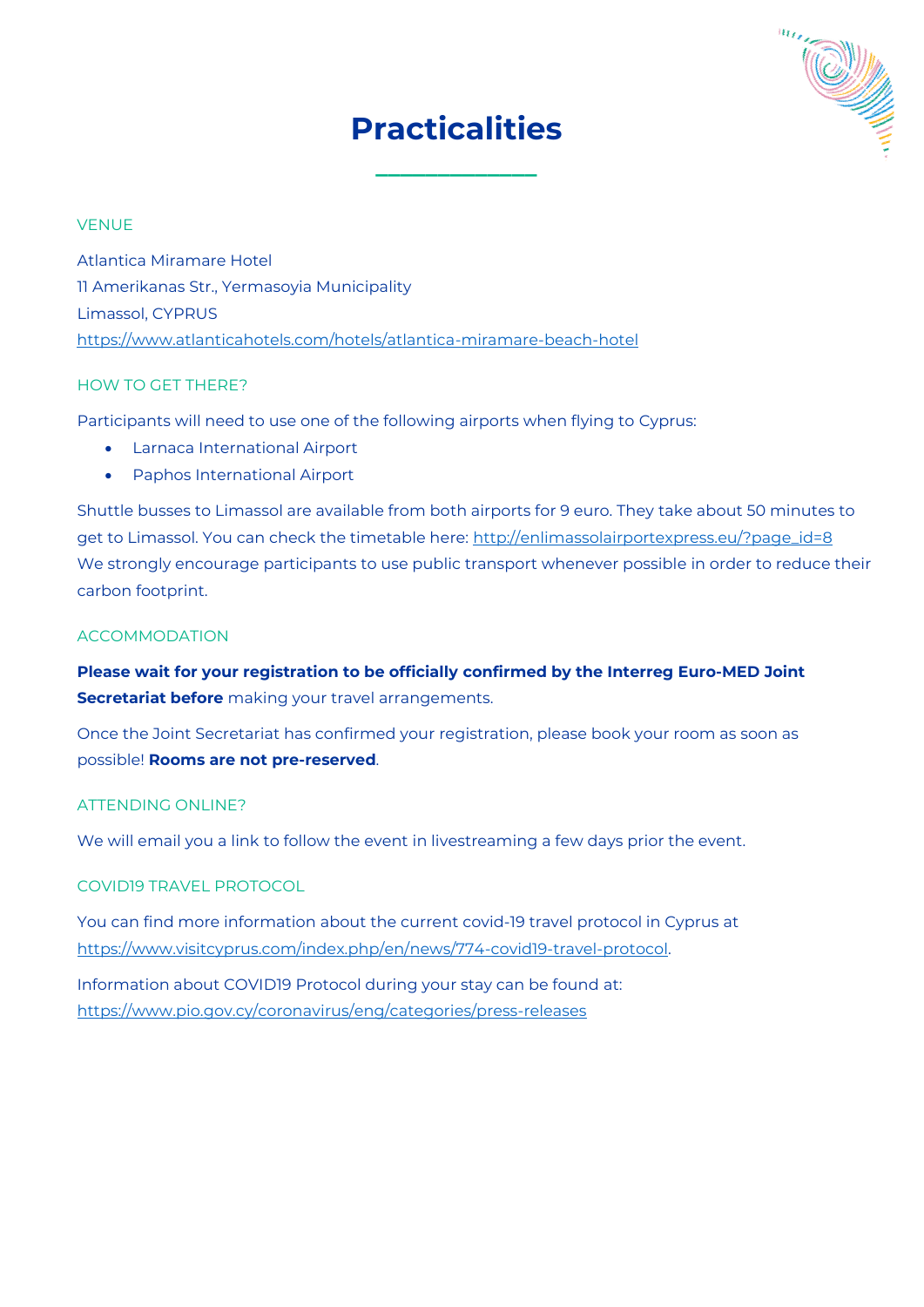# **Practicalities**

**\_\_\_\_\_\_\_\_\_\_\_\_\_**



#### VENUE

Atlantica Miramare Hotel 11 Amerikanas Str., Yermasoyia Municipality Limassol, CYPRUS <https://www.atlanticahotels.com/hotels/atlantica-miramare-beach-hotel>

#### HOW TO GET THERE?

Participants will need to use one of the following airports when flying to Cyprus:

- Larnaca International Airport
- Paphos International Airport

Shuttle busses to Limassol are available from both airports for 9 euro. They take about 50 minutes to get to Limassol. You can check the timetable here: [http://enlimassolairportexpress.eu/?page\\_id=8](http://enlimassolairportexpress.eu/?page_id=8) We strongly encourage participants to use public transport whenever possible in order to reduce their carbon footprint.

#### **ACCOMMODATION**

**Please wait for your registration to be officially confirmed by the Interreg Euro-MED Joint Secretariat before** making your travel arrangements.

Once the Joint Secretariat has confirmed your registration, please book your room as soon as possible! **Rooms are not pre-reserved**.

#### ATTENDING ONLINE?

We will email you a link to follow the event in livestreaming a few days prior the event.

#### COVID19 TRAVEL PROTOCOL

You can find more information about the current covid-19 travel protocol in Cyprus at [https://www.visitcyprus.com/index.php/en/news/774-covid19-travel-protocol.](https://www.visitcyprus.com/index.php/en/news/774-covid19-travel-protocol) 

Information about COVID19 Protocol during your stay can be found at: <https://www.pio.gov.cy/coronavirus/eng/categories/press-releases>